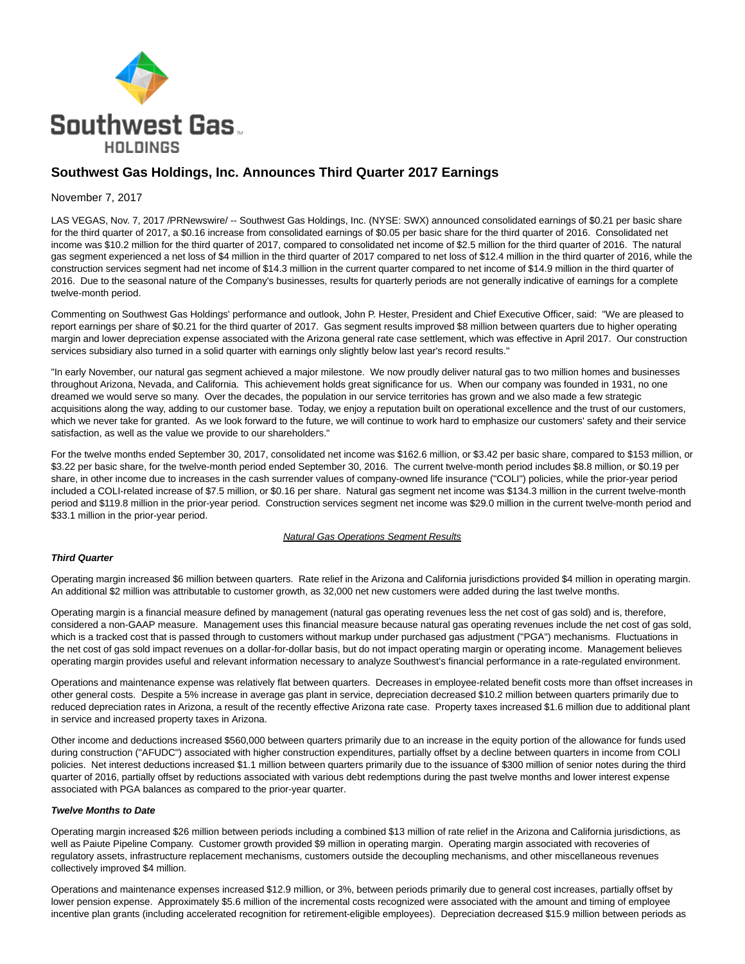

## **Southwest Gas Holdings, Inc. Announces Third Quarter 2017 Earnings**

#### November 7, 2017

LAS VEGAS, Nov. 7, 2017 /PRNewswire/ -- Southwest Gas Holdings, Inc. (NYSE: SWX) announced consolidated earnings of \$0.21 per basic share for the third quarter of 2017, a \$0.16 increase from consolidated earnings of \$0.05 per basic share for the third quarter of 2016. Consolidated net income was \$10.2 million for the third quarter of 2017, compared to consolidated net income of \$2.5 million for the third quarter of 2016. The natural gas segment experienced a net loss of \$4 million in the third quarter of 2017 compared to net loss of \$12.4 million in the third quarter of 2016, while the construction services segment had net income of \$14.3 million in the current quarter compared to net income of \$14.9 million in the third quarter of 2016. Due to the seasonal nature of the Company's businesses, results for quarterly periods are not generally indicative of earnings for a complete twelve-month period.

Commenting on Southwest Gas Holdings' performance and outlook, John P. Hester, President and Chief Executive Officer, said: "We are pleased to report earnings per share of \$0.21 for the third quarter of 2017. Gas segment results improved \$8 million between quarters due to higher operating margin and lower depreciation expense associated with the Arizona general rate case settlement, which was effective in April 2017. Our construction services subsidiary also turned in a solid quarter with earnings only slightly below last year's record results."

"In early November, our natural gas segment achieved a major milestone. We now proudly deliver natural gas to two million homes and businesses throughout Arizona, Nevada, and California. This achievement holds great significance for us. When our company was founded in 1931, no one dreamed we would serve so many. Over the decades, the population in our service territories has grown and we also made a few strategic acquisitions along the way, adding to our customer base. Today, we enjoy a reputation built on operational excellence and the trust of our customers, which we never take for granted. As we look forward to the future, we will continue to work hard to emphasize our customers' safety and their service satisfaction, as well as the value we provide to our shareholders."

For the twelve months ended September 30, 2017, consolidated net income was \$162.6 million, or \$3.42 per basic share, compared to \$153 million, or \$3.22 per basic share, for the twelve-month period ended September 30, 2016. The current twelve-month period includes \$8.8 million, or \$0.19 per share, in other income due to increases in the cash surrender values of company-owned life insurance ("COLI") policies, while the prior-year period included a COLI-related increase of \$7.5 million, or \$0.16 per share. Natural gas segment net income was \$134.3 million in the current twelve-month period and \$119.8 million in the prior-year period. Construction services segment net income was \$29.0 million in the current twelve-month period and \$33.1 million in the prior-year period.

#### **Natural Gas Operations Segment Results**

#### **Third Quarter**

Operating margin increased \$6 million between quarters. Rate relief in the Arizona and California jurisdictions provided \$4 million in operating margin. An additional \$2 million was attributable to customer growth, as 32,000 net new customers were added during the last twelve months.

Operating margin is a financial measure defined by management (natural gas operating revenues less the net cost of gas sold) and is, therefore, considered a non-GAAP measure. Management uses this financial measure because natural gas operating revenues include the net cost of gas sold, which is a tracked cost that is passed through to customers without markup under purchased gas adjustment ("PGA") mechanisms. Fluctuations in the net cost of gas sold impact revenues on a dollar-for-dollar basis, but do not impact operating margin or operating income. Management believes operating margin provides useful and relevant information necessary to analyze Southwest's financial performance in a rate-regulated environment.

Operations and maintenance expense was relatively flat between quarters. Decreases in employee-related benefit costs more than offset increases in other general costs. Despite a 5% increase in average gas plant in service, depreciation decreased \$10.2 million between quarters primarily due to reduced depreciation rates in Arizona, a result of the recently effective Arizona rate case. Property taxes increased \$1.6 million due to additional plant in service and increased property taxes in Arizona.

Other income and deductions increased \$560,000 between quarters primarily due to an increase in the equity portion of the allowance for funds used during construction ("AFUDC") associated with higher construction expenditures, partially offset by a decline between quarters in income from COLI policies. Net interest deductions increased \$1.1 million between quarters primarily due to the issuance of \$300 million of senior notes during the third quarter of 2016, partially offset by reductions associated with various debt redemptions during the past twelve months and lower interest expense associated with PGA balances as compared to the prior-year quarter.

#### **Twelve Months to Date**

Operating margin increased \$26 million between periods including a combined \$13 million of rate relief in the Arizona and California jurisdictions, as well as Paiute Pipeline Company. Customer growth provided \$9 million in operating margin. Operating margin associated with recoveries of regulatory assets, infrastructure replacement mechanisms, customers outside the decoupling mechanisms, and other miscellaneous revenues collectively improved \$4 million.

Operations and maintenance expenses increased \$12.9 million, or 3%, between periods primarily due to general cost increases, partially offset by lower pension expense. Approximately \$5.6 million of the incremental costs recognized were associated with the amount and timing of employee incentive plan grants (including accelerated recognition for retirement-eligible employees). Depreciation decreased \$15.9 million between periods as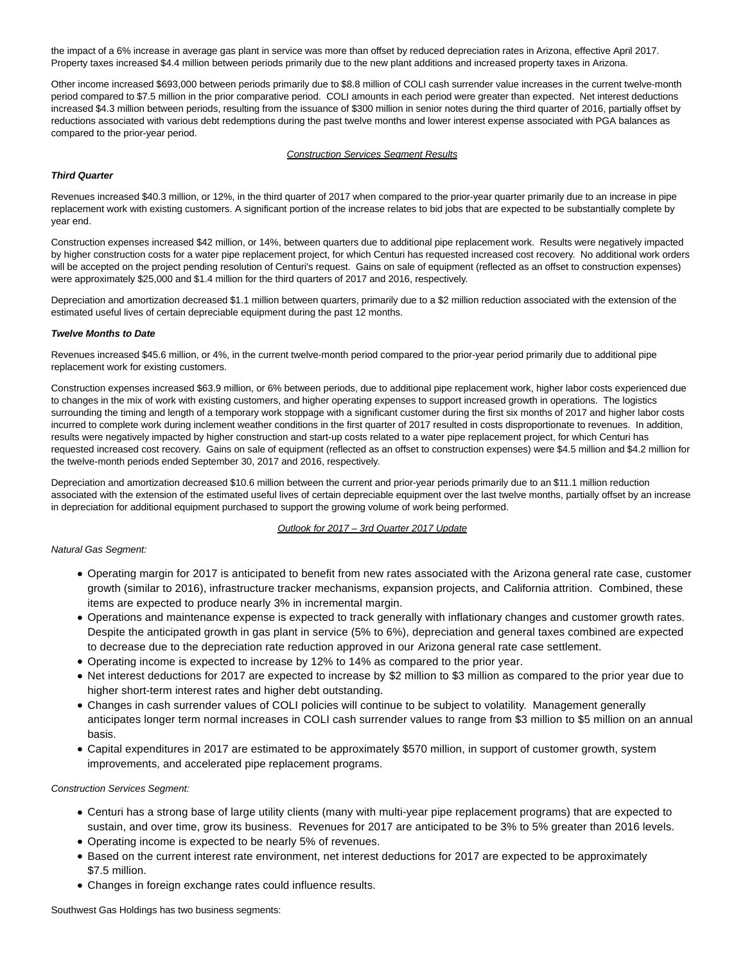the impact of a 6% increase in average gas plant in service was more than offset by reduced depreciation rates in Arizona, effective April 2017. Property taxes increased \$4.4 million between periods primarily due to the new plant additions and increased property taxes in Arizona.

Other income increased \$693,000 between periods primarily due to \$8.8 million of COLI cash surrender value increases in the current twelve-month period compared to \$7.5 million in the prior comparative period. COLI amounts in each period were greater than expected. Net interest deductions increased \$4.3 million between periods, resulting from the issuance of \$300 million in senior notes during the third quarter of 2016, partially offset by reductions associated with various debt redemptions during the past twelve months and lower interest expense associated with PGA balances as compared to the prior-year period.

### **Construction Services Segment Results**

#### **Third Quarter**

Revenues increased \$40.3 million, or 12%, in the third quarter of 2017 when compared to the prior-year quarter primarily due to an increase in pipe replacement work with existing customers. A significant portion of the increase relates to bid jobs that are expected to be substantially complete by year end.

Construction expenses increased \$42 million, or 14%, between quarters due to additional pipe replacement work. Results were negatively impacted by higher construction costs for a water pipe replacement project, for which Centuri has requested increased cost recovery. No additional work orders will be accepted on the project pending resolution of Centuri's request. Gains on sale of equipment (reflected as an offset to construction expenses) were approximately \$25,000 and \$1.4 million for the third quarters of 2017 and 2016, respectively.

Depreciation and amortization decreased \$1.1 million between quarters, primarily due to a \$2 million reduction associated with the extension of the estimated useful lives of certain depreciable equipment during the past 12 months.

#### **Twelve Months to Date**

Revenues increased \$45.6 million, or 4%, in the current twelve-month period compared to the prior-year period primarily due to additional pipe replacement work for existing customers.

Construction expenses increased \$63.9 million, or 6% between periods, due to additional pipe replacement work, higher labor costs experienced due to changes in the mix of work with existing customers, and higher operating expenses to support increased growth in operations. The logistics surrounding the timing and length of a temporary work stoppage with a significant customer during the first six months of 2017 and higher labor costs incurred to complete work during inclement weather conditions in the first quarter of 2017 resulted in costs disproportionate to revenues. In addition, results were negatively impacted by higher construction and start-up costs related to a water pipe replacement project, for which Centuri has requested increased cost recovery. Gains on sale of equipment (reflected as an offset to construction expenses) were \$4.5 million and \$4.2 million for the twelve-month periods ended September 30, 2017 and 2016, respectively.

Depreciation and amortization decreased \$10.6 million between the current and prior-year periods primarily due to an \$11.1 million reduction associated with the extension of the estimated useful lives of certain depreciable equipment over the last twelve months, partially offset by an increase in depreciation for additional equipment purchased to support the growing volume of work being performed.

#### Outlook for 2017 – 3rd Quarter 2017 Update

### Natural Gas Segment:

- Operating margin for 2017 is anticipated to benefit from new rates associated with the Arizona general rate case, customer growth (similar to 2016), infrastructure tracker mechanisms, expansion projects, and California attrition. Combined, these items are expected to produce nearly 3% in incremental margin.
- Operations and maintenance expense is expected to track generally with inflationary changes and customer growth rates. Despite the anticipated growth in gas plant in service (5% to 6%), depreciation and general taxes combined are expected to decrease due to the depreciation rate reduction approved in our Arizona general rate case settlement.
- Operating income is expected to increase by 12% to 14% as compared to the prior year.
- Net interest deductions for 2017 are expected to increase by \$2 million to \$3 million as compared to the prior year due to higher short-term interest rates and higher debt outstanding.
- Changes in cash surrender values of COLI policies will continue to be subject to volatility. Management generally anticipates longer term normal increases in COLI cash surrender values to range from \$3 million to \$5 million on an annual basis.
- Capital expenditures in 2017 are estimated to be approximately \$570 million, in support of customer growth, system improvements, and accelerated pipe replacement programs.

#### Construction Services Segment:

- Centuri has a strong base of large utility clients (many with multi-year pipe replacement programs) that are expected to sustain, and over time, grow its business. Revenues for 2017 are anticipated to be 3% to 5% greater than 2016 levels.
- Operating income is expected to be nearly 5% of revenues.
- Based on the current interest rate environment, net interest deductions for 2017 are expected to be approximately \$7.5 million.
- Changes in foreign exchange rates could influence results.

Southwest Gas Holdings has two business segments: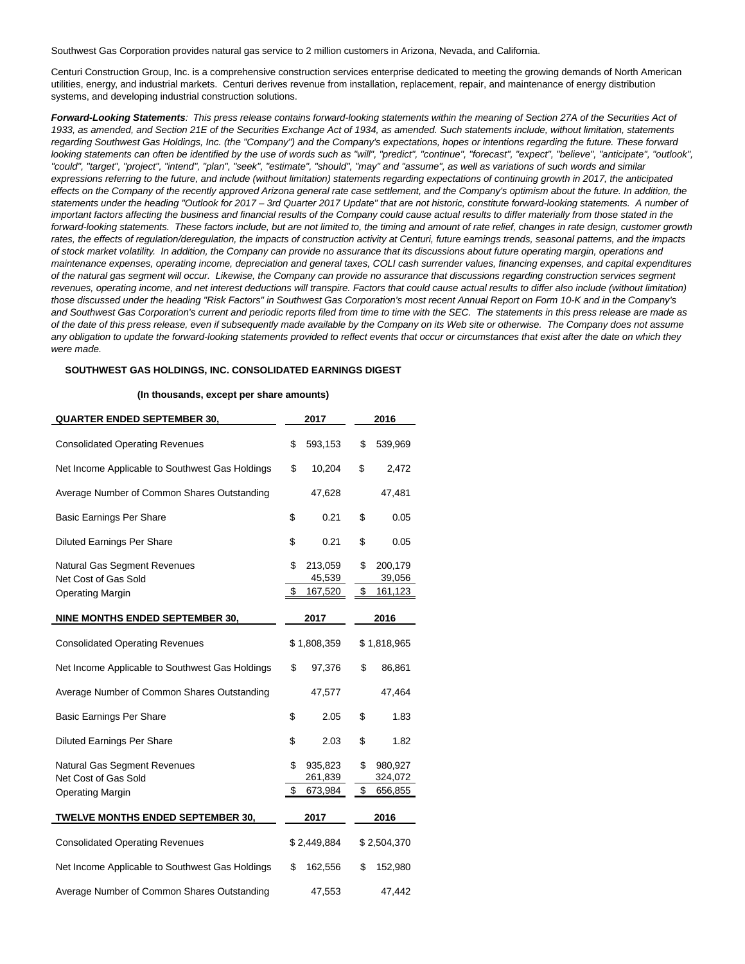Southwest Gas Corporation provides natural gas service to 2 million customers in Arizona, Nevada, and California.

Centuri Construction Group, Inc. is a comprehensive construction services enterprise dedicated to meeting the growing demands of North American utilities, energy, and industrial markets. Centuri derives revenue from installation, replacement, repair, and maintenance of energy distribution systems, and developing industrial construction solutions.

**Forward-Looking Statements**: This press release contains forward-looking statements within the meaning of Section 27A of the Securities Act of 1933, as amended, and Section 21E of the Securities Exchange Act of 1934, as amended. Such statements include, without limitation, statements regarding Southwest Gas Holdings, Inc. (the "Company") and the Company's expectations, hopes or intentions regarding the future. These forward looking statements can often be identified by the use of words such as "will", "predict", "continue", "forecast", "expect", "believe", "anticipate", "outlook", "could", "target", "project", "intend", "plan", "seek", "estimate", "should", "may" and "assume", as well as variations of such words and similar expressions referring to the future, and include (without limitation) statements regarding expectations of continuing growth in 2017, the anticipated effects on the Company of the recently approved Arizona general rate case settlement, and the Company's optimism about the future. In addition, the statements under the heading "Outlook for 2017 – 3rd Quarter 2017 Update" that are not historic, constitute forward-looking statements. A number of important factors affecting the business and financial results of the Company could cause actual results to differ materially from those stated in the forward-looking statements. These factors include, but are not limited to, the timing and amount of rate relief, changes in rate design, customer growth rates, the effects of regulation/deregulation, the impacts of construction activity at Centuri, future earnings trends, seasonal patterns, and the impacts of stock market volatility. In addition, the Company can provide no assurance that its discussions about future operating margin, operations and maintenance expenses, operating income, depreciation and general taxes, COLI cash surrender values, financing expenses, and capital expenditures of the natural gas segment will occur. Likewise, the Company can provide no assurance that discussions regarding construction services segment revenues, operating income, and net interest deductions will transpire. Factors that could cause actual results to differ also include (without limitation) those discussed under the heading "Risk Factors" in Southwest Gas Corporation's most recent Annual Report on Form 10-K and in the Company's and Southwest Gas Corporation's current and periodic reports filed from time to time with the SEC. The statements in this press release are made as of the date of this press release, even if subsequently made available by the Company on its Web site or otherwise. The Company does not assume any obligation to update the forward-looking statements provided to reflect events that occur or circumstances that exist after the date on which they were made.

#### **SOUTHWEST GAS HOLDINGS, INC. CONSOLIDATED EARNINGS DIGEST**

#### **(In thousands, except per share amounts)**

| <b>QUARTER ENDED SEPTEMBER 30,</b>                          |             | 2017               | 2016 |                    |  |
|-------------------------------------------------------------|-------------|--------------------|------|--------------------|--|
| <b>Consolidated Operating Revenues</b>                      | \$          | 593,153            | \$   | 539,969            |  |
| Net Income Applicable to Southwest Gas Holdings             | \$          | 10,204             | \$   | 2,472              |  |
| Average Number of Common Shares Outstanding                 |             | 47,628             |      | 47,481             |  |
| <b>Basic Earnings Per Share</b>                             | \$          | 0.21               | \$   | 0.05               |  |
| <b>Diluted Earnings Per Share</b>                           | \$          | 0.21               | \$   | 0.05               |  |
| <b>Natural Gas Segment Revenues</b><br>Net Cost of Gas Sold | \$          | 213,059<br>45,539  | \$   | 200,179<br>39,056  |  |
| <b>Operating Margin</b>                                     | \$          | 167,520            | \$   | 161,123            |  |
| NINE MONTHS ENDED SEPTEMBER 30,                             |             | 2017               |      | 2016               |  |
| <b>Consolidated Operating Revenues</b>                      | \$1,808,359 |                    |      | \$1,818,965        |  |
| Net Income Applicable to Southwest Gas Holdings             | \$          | 97,376             | \$   | 86,861             |  |
| Average Number of Common Shares Outstanding                 |             | 47,577             |      | 47,464             |  |
| <b>Basic Earnings Per Share</b>                             | \$          | 2.05               | \$   | 1.83               |  |
| <b>Diluted Earnings Per Share</b>                           | \$          | 2.03               | \$   | 1.82               |  |
| <b>Natural Gas Segment Revenues</b><br>Net Cost of Gas Sold | \$          | 935,823<br>261,839 | \$   | 980,927<br>324,072 |  |
| <b>Operating Margin</b>                                     | \$          | 673,984            | \$   | 656,855            |  |
| TWELVE MONTHS ENDED SEPTEMBER 30,                           |             | 2017               |      | 2016               |  |
| <b>Consolidated Operating Revenues</b>                      | \$2,449,884 |                    |      | \$2,504,370        |  |
| Net Income Applicable to Southwest Gas Holdings             | \$          | 162,556            | \$   | 152,980            |  |
| Average Number of Common Shares Outstanding                 |             | 47,553             |      | 47,442             |  |